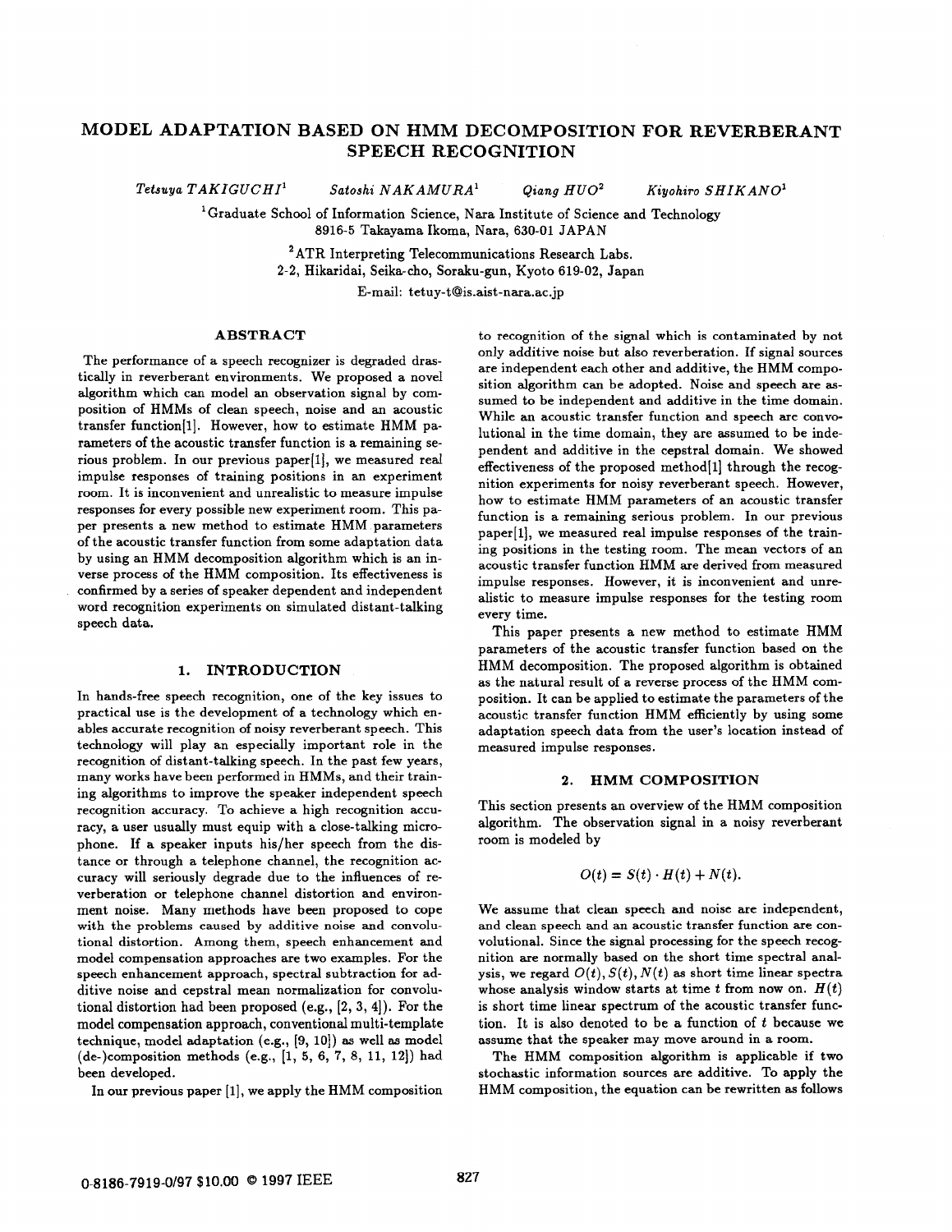# **MODEL ADAPTATION BASED ON HMM DECOMPOSITION FOR REVERBERANT SPEECH RECOGNITION**

 $Tetsuya TAKIGUCHI<sup>1</sup>$  Satoshi  $NAKAMURA<sup>1</sup>$  Qiang  $HUO<sup>2</sup>$  Kiyohiro SHIKANO<sup>1</sup>

'Graduate School of Information Science, Nara Institute of Science and Technology

8916-5 Takayama Ikoma, Nara, 630-01 JAPAN

ATR Interpreting Telecommunications Research Labs.

2-2, Hikaridai, Seika-cho, Soraku-gun, Kyoto 619-02, Japan

E-mail: **[tetuy-t@is.aist-nara.ac.jp](mailto:tetuy-t@is.aist-nara.ac.jp)** 

## **ABSTRACT**

The performance of a speech recognizer is degraded drastically in reverberant environments. We proposed a novel algorithm which can model an observation signal by composition of HMMs of clean speech, noise and an acoustic transfer function(l]. However, how to estimate HMM parameters of the acoustic transfer function is a remaining serious problem. In our previous paper<sup>[1]</sup>, we measured real impulse responses of training positions in an experiment room. It is inconvenient and unrealistic to measure impulse responses for every possible new experiment room. This paper presents a new method to estimate HMM parameters of the acoustic transfer function from some adaptation data by using an HMM decomposition algorithm which is an inverse process of the HMM composition. Its effectiveness is confirmed by a series of speaker dependent and independent word recognition experiments on simulated distant-talking speech data.

### **1. INTRODUCTION**

In hands-free speech recognition, one of the key issues to practical use is the development of a technology which enables accurate recognition of noisy reverberant speech. This technology will play an especially important role in the recognition of distant-talking speech. In the past few years, many works have been performed in HMMs, and their training algorithms to improve the speaker independent speech recognition accuracy. To achieve **a** high recognition accuracy, a user usually must equip with a close-talking microphone. If a speaker inputs his/her speech from the distance **or** through a telephone channel, the recognition accuracy will seriously degrade due to the influences of reverberation **or** telephone channel distortion and environment noise. Many methods have been proposed to cope with the problems caused by additive noise and convolutional distortion. Among them, speech enhancement and model compensation approaches are two examples. **For** the speech enhancement approach, spectral subtraction for additive noise and cepstral mean normalization for convolutional distortion had been proposed (e.g., [2, 3, **41).** For the model compensation approach, conventional multi-template technique, model adaptation (e.g., [9, lo]) **as** well **as** model (de-)composition methods (e.g., [l, *5,* **6, 7,** 8, 11, 12)) had been developed.

In our previous paper [l], we apply the HMM composition

to recognition of the signal which is contaminated by not only additive noise but also reverberation. If signal sources are independent each other and additive, the HMM composition algorithm can be adopted. Noise and speech are **as**sumed to be independent and additive in the time domain. While an acoustic transfer function and speech are convolutional in the time domain, they are assumed to be independent and additive in the cepstral domain. We showed effectiveness of the proposed method $[1]$  through the recognition experiments for noisy reverberant speech. However, how to estimate HMM parameters of an acoustic transfer function is a remaining serious problem. In **our** previous paper[l], we measured real impulse responses of the training positions in the testing room. The mean vectors of an acoustic transfer function HMM are derived from measured impulse responses. However, it is inconvenient and unrealistic to measure impulse responses for the testing room every time.

This paper presents a new method to estimate HMM parameters of the acoustic transfer function based on the HMM decomposition. The proposed algorithm is obtained as the natural result of a reverse process of the HMM composition. It can be applied to estimate the parameters of the acoustic transfer function HMM efficiently by using some adaptation speech data from the user's location instead of measured impulse responses.

#### **2. HMM COMPOSITION**

This section presents an overview of the HMM composition algorithm. The observation signal in a noisy reverberant room is modeled by

$$
O(t) = S(t) \cdot H(t) + N(t).
$$

We assume that clean speech and noise are independent, and clean speech and an acoustic transfer function are convolutional. Since the signal processing for the speech recognition are normally based on the short time spectral analysis, we regard  $O(t)$ ,  $S(t)$ ,  $N(t)$  as short time linear spectra whose analysis window starts at time *t* from now on. *H(t)*  is short time linear spectrum of the acoustic transfer function. It is also denoted to be a function of *t* because we assume that the speaker may move around in a room.

The HMM composition algorithm is applicable if two stochastic information sources are additive. To apply the HMM composition, the equation can be rewritten **as** follows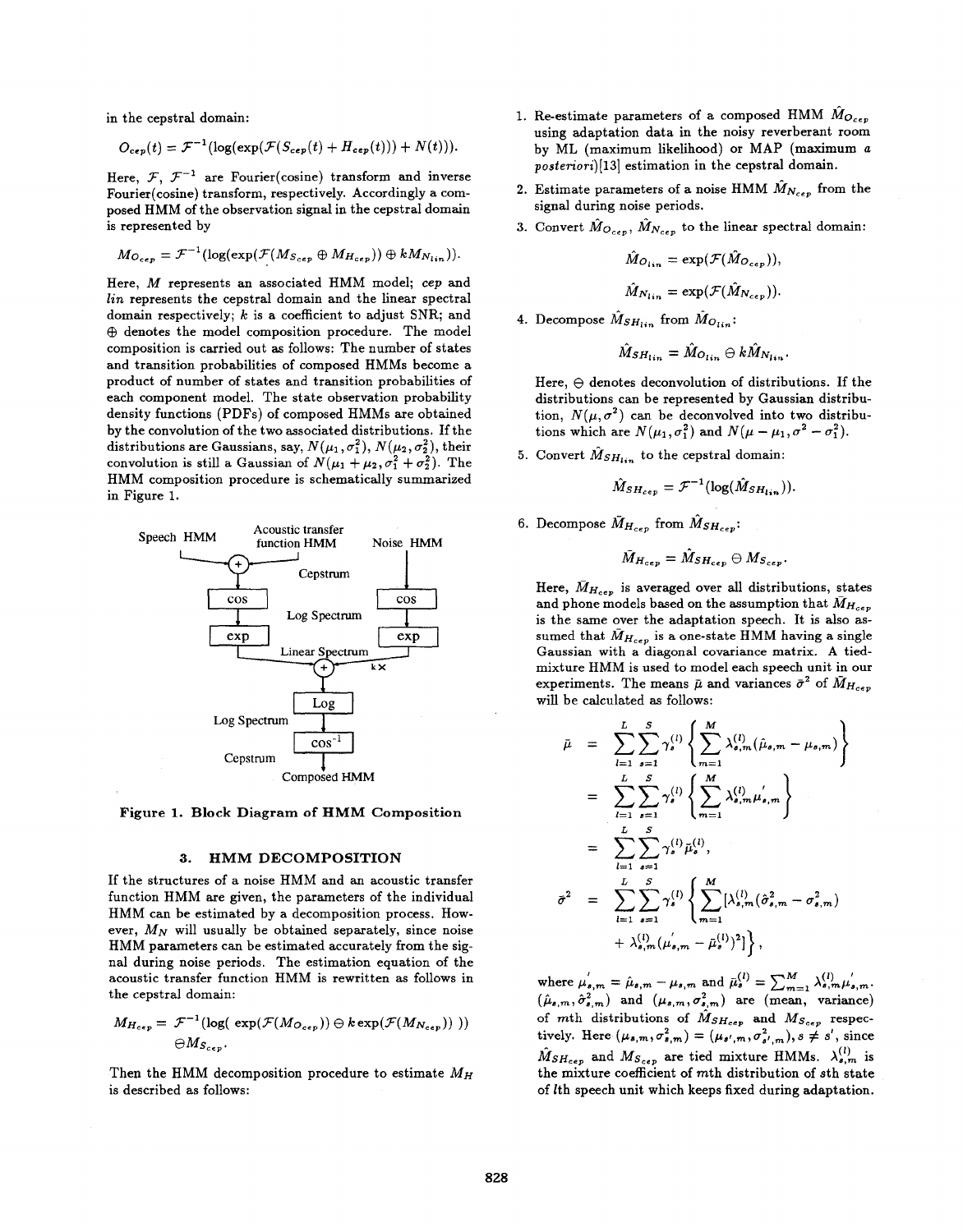in the cepstral domain:

$$
O_{\mathbf{c}\mathbf{e}\mathbf{p}}(t) = \mathcal{F}^{-1}(\log(\exp(\mathcal{F}(S_{\mathbf{c}\mathbf{e}\mathbf{p}}(t) + H_{\mathbf{c}\mathbf{e}\mathbf{p}}(t))) + N(t))).
$$

Here,  $\mathcal{F}, \ \mathcal{F}^{-1}$  are Fourier(cosine) transform and inverse Fourier(cosine) transform, respectively. Accordingly a composed HMM of the observation signal in the cepstral domain is represented by

$$
M_{O_{cep}} = \mathcal{F}^{-1}(\log(\exp(\mathcal{F}(M_{S_{cep}} \oplus M_{H_{cep}})) \oplus kM_{N_{lin}})).
$$

Here, M represents an associated HMM model; *cep* and  $lin$  represents the cepstral domain and the linear spectral domain respectively; *k* is a coefficient to adjust SNR; and  $\oplus$  denotes the model composition procedure. The model composition is carried out **as** follows: The number of states and transition probabilities of composed HMMs become a product of number of states and transition probabilities of each component model. The state observation probability density functions (PDFs) of composed HMMs are obtained by the convolution of the two associated distributions. If the distributions are Gaussians, say,  $N(\mu_1, \sigma_1^2)$ ,  $N(\mu_2, \sigma_2^2)$ , their convolution is still a Gaussian of  $N(\mu_1 + \mu_2, \sigma_1^2 + \sigma_2^2)$ . The HMM composition procedure **is** schematically summarized in Figure 1.



**Figure 1. Block** Diagram **of HMM Composition** 

#### **3. HMM DECOMPOSITION**

If the structures of a noise HMM and an acoustic transfer function HMM are given, the parameters of the individual HMM can be estimated by a decomposition process. However,  $M_N$  will usually be obtained separately, since noise HMM parameters can be estimated accurately from the signal during noise periods. The estimation equation of the acoustic transfer function HMM is rewritten as follows in the cepstral domain:

$$
M_{H_{cep}} = \mathcal{F}^{-1}(\log(\exp(\mathcal{F}(M_{O_{cep}})) \ominus k \exp(\mathcal{F}(M_{N_{cep}}))))
$$
  

$$
\ominus M_{S_{cep}}.
$$

Then the HMM decomposition procedure to estimate  $M_H$ is described as follows:

- 1. Re-estimate parameters of a composed HMM  $\hat{M}_{O_{c}}$ using adaptation data in the noisy reverberant room by ML (maximum likelihood) **or** MAP (maximum *a posienort)(13]* estimation in the cepstral domain.
- 2. Estimate parameters of a noise HMM  $\hat{M}_{N_{c}e_{\nu}}$  from the signal during noise periods.
- 3. Convert  $\hat{M}_{O_{cep}}$ ,  $\hat{M}_{N_{cep}}$  to the linear spectral domain:

$$
\hat{M}_{O_{lin}} = \exp(\mathcal{F}(\hat{M}_{O_{cep}})),
$$
  

$$
\hat{M}_{N_{lin}} = \exp(\mathcal{F}(\hat{M}_{N_{cep}})).
$$

4. Decompose  $\hat{M}_{SH_{lin}}$  from  $\hat{M}_{O_{lin}}$ :

$$
\hat{M}_{SH_{lin}} = \hat{M}_{O_{lin}} \ominus k \hat{M}_{N_{lin}}.
$$

Here,  $\ominus$  denotes deconvolution of distributions. If the distributions can be represented by Gaussian distribution,  $N(\mu, \sigma^2)$  can be deconvolved into two distributions which are  $N(\mu_1, \sigma_1^2)$  and  $N(\mu - \mu_1, \sigma^2 - \sigma_1^2)$ .

5. Convert  $\hat{M}_{SH_{lin}}$  to the cepstral domain:

$$
\hat{M}_{SH_{cep}} = \mathcal{F}^{-1}(\log(\hat{M}_{SH_{lin}})).
$$

6. Decompose  $\bar{M}_{H_{cep}}$  from  $\hat{M}_{SH_{cep}}$ :

$$
\bar{M}_{H_{cep}} = \hat{M}_{SH_{cep}} \oplus M_{S_{cep}}.
$$

Here,  $\bar{M}_{H_{cep}}$  is averaged over all distributions, states and phone models based on the assumption that  $\bar{M}_{H_{cep}}$ is the same over the adaptation speech. It is also **as**sumed that  $\bar{M}_{H_{cep}}$  is a one-state HMM having a single Gaussian with a diagonal covariance matrix. A tiedmixture HMM is used to model each speech unit in **our**  experiments. The means  $\bar{\mu}$  and variances  $\bar{\sigma}^2$  of  $\bar{M}_{H_{c}e_{\bar{\nu}}}$ will be calculated **as** follows:

$$
\bar{\mu} = \sum_{l=1}^{L} \sum_{s=1}^{S} \gamma_s^{(l)} \left\{ \sum_{m=1}^{M} \lambda_{s,m}^{(l)} (\hat{\mu}_{s,m} - \mu_{s,m}) \right\}
$$
\n
$$
= \sum_{l=1}^{L} \sum_{s=1}^{S} \gamma_s^{(l)} \left\{ \sum_{m=1}^{M} \lambda_{s,m}^{(l)} \mu_{s,m}' \right\}
$$
\n
$$
= \sum_{l=1}^{L} \sum_{s=1}^{S} \gamma_s^{(l)} \tilde{\mu}_s^{(l)},
$$
\n
$$
\bar{\sigma}^2 = \sum_{l=1}^{L} \sum_{s=1}^{S} \gamma_s^{(l)} \left\{ \sum_{m=1}^{M} [\lambda_{s,m}^{(l)} (\hat{\sigma}_{s,m}^2 - \sigma_{s,m}^2) + \lambda_{s,m}^{(l)} (\mu_{s,m}^{'} - \bar{\mu}_s^{(l)})^2] \right\},
$$

where  $\mu'_{s,m} = \hat{\mu}_{s,m} - \mu_{s,m}$  and  $\bar{\mu}^{(l)}_{s} = \sum_{m=1}^{M} \lambda^{(l)}_{s,m} \mu'_{s,m}$ .  $(\hat{\mu}_{s,m}, \hat{\sigma}_{s,m}^2)$  and  $(\mu_{s,m}, \sigma_{s,m}^2)$  are (mean, variance) of mth distributions of  $\hat{M}_{SH_{cep}}$  and  $M_{S_{cep}}$  respectively. Here  $(\mu_{s,m}, \sigma_{s,m}^2) = (\mu_{s',m}, \sigma_{s',m}^2), s \neq s'$ , since  $\tilde{M}_{SH_{cep}}$  and  $M_{S_{cep}}$  are tied mixture HMMs.  $\lambda_{s,m}^{(l)}$  is the mixture coefficient of mth distribution of sth state of lth speech unit which keeps fixed during adaptation.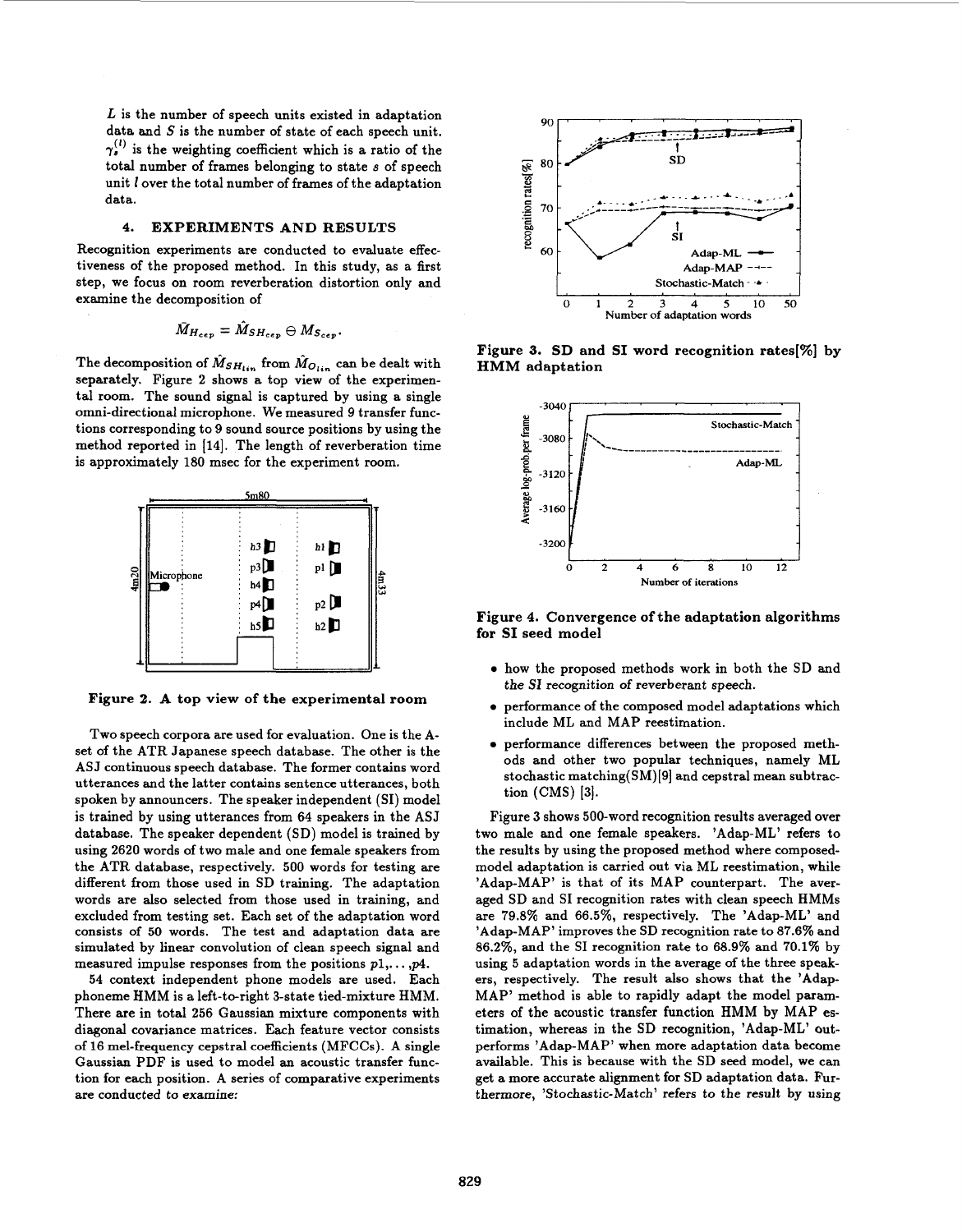L is the number of speech units existed in adaptation data and **S** is the number of state of each speech unit.  $\gamma_s^{(l)}$  is the weighting coefficient which is a ratio of the total number of frames belonging to state **s** of speech unit *1* over the total number of frames of the adaptation data.

### **4. EXPERIMENTS AND RESULTS**

Recognition experiments are conducted to evaluate effectiveness of the proposed method. In this study, as a first step, we focus on room reverberation distortion only and examine the decomposition of

$$
\bar{M}_{H_{cep}} = \hat{M}_{SH_{cep}} \oplus M_{S_{cep}}.
$$

The decomposition of  $\hat{M}_{SH_{lin}}$  from  $\hat{M}_{O_{lin}}$  can be dealt with separately. Figure 2 shows a top view of the experimental room. The sound signal is captured by using a single omni-directional microphone. We measured 9 transfer functions corresponding to 9 sound source positions by using the method reported in [14]. The length of reverberation time is approximately 180 msec for the experiment room.



Figure **2. A** top view **of** the experimental room

Two speech corpora are used for evaluation. One is the Aset of the ATR Japanese speech database. The other is the ASJ continuous speech database. The former contains word utterances and the latter contains sentence utterances, both spoken by announcers. The speaker independent (SI) model is trained by using utterances from 64 speakers in the ASJ database. The speaker dependent (SD) model is trained by using 2620 words of two male and one female speakers from the ATR database, respectively. 500 words for testing are different from those used in SD training. The adaptation words are also selected from those used in training, and excluded from testing set. Each set of the adaptation word consists **of** *50* words. The test and adaptation data are simulated by linear convolution of clean speech signal and measured impulse responses **from** the positions pl,. . . *,p4.* 

54 context independent phone models are used. Each phoneme HMM is a left-to-right 3-state tied-mixture HMM. There are in total 256 Gaussian mixture components with diagonal covariance matrices. Each feature vector consists **of** 16 mel-frequency cepstral coefficients (MFCCs). A single Gaussian PDF is used to model an acoustic transfer function for each position. A series of comparative experiments are conducted **to** examine:



Figure **3. SD** and **SI** word recognition rates[%] **by HMM** adaptation



Figure **4.** Convergence **of** the adaptation algorithms for **SI** seed model

- *0* how the proposed methods work in both the SD and the SI recognition of reverberant speech.
- *0* performance of the composed model adaptations which include ML and MAP reestimation.
- *0* performance differences between the proposed methods and other two popular techniques, namely ML stochastic matching(SM)[9] and cepstral mean subtraction (CMS) [3].

Figure **3** shows 500-word recognition results averaged over two male and one female speakers. 'Adap-ML' refers to the results by using the proposed method where composedmodel adaptation is carried out via ML reestimation, while 'Adap-MAP' is that of its MAP counterpart. The averaged SD and SI recognition rates with clean speech HMMs are 79.8% and 66.5%, respectively. The 'Adap-ML' and 'Adap-MAP' improves the SD recognition rate to 87.6% and 86.2%, and the SI recognition rate to 68.9% and 70.1% by using 5 adaptation words in the average of the three speakers, respectively. The result also shows that the 'Adap-MAP' method is able to rapidly adapt the model parameters of the acoustic transfer function HMM by MAP estimation, whereas in the SD recognition, 'Adap-ML' outperforms 'Adap-MAP' when more adaptation data become available. This is because with the SD seed model, we can get a more accurate alignment for SD adaptation data. Furthermore, 'Stochastic-Match' refers to the result by using